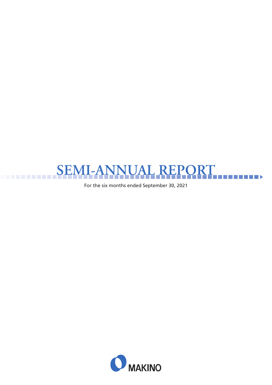

For the six months ended September 30, 2021

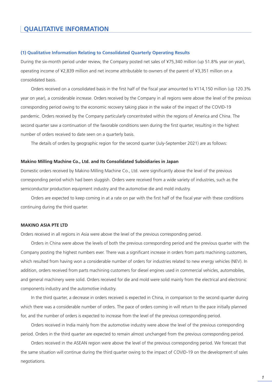#### **(1) Qualitative Information Relating to Consolidated Quarterly Operating Results**

During the six-month period under review, the Company posted net sales of ¥75,340 million (up 51.8% year on year), operating income of ¥2,839 million and net income attributable to owners of the parent of ¥3,351 million on a consolidated basis.

Orders received on a consolidated basis in the first half of the fiscal year amounted to ¥114,150 million (up 120.3% year on year), a considerable increase. Orders received by the Company in all regions were above the level of the previous corresponding period owing to the economic recovery taking place in the wake of the impact of the COVID-19 pandemic. Orders received by the Company particularly concentrated within the regions of America and China. The second quarter saw a continuation of the favorable conditions seen during the first quarter, resulting in the highest number of orders received to date seen on a quarterly basis.

The details of orders by geographic region for the second quarter (July-September 2021) are as follows:

#### **Makino Milling Machine Co., Ltd. and Its Consolidated Subsidiaries in Japan**

Domestic orders received by Makino Milling Machine Co., Ltd. were significantly above the level of the previous corresponding period which had been sluggish. Orders were received from a wide variety of industries, such as the semiconductor production equipment industry and the automotive die and mold industry.

Orders are expected to keep coming in at a rate on par with the first half of the fiscal year with these conditions continuing during the third quarter.

### **MAKINO ASIA PTE LTD**

Orders received in all regions in Asia were above the level of the previous corresponding period.

Orders in China were above the levels of both the previous corresponding period and the previous quarter with the Company posting the highest numbers ever. There was a significant increase in orders from parts machining customers, which resulted from having won a considerable number of orders for industries related to new energy vehicles (NEV). In addition, orders received from parts machining customers for diesel engines used in commercial vehicles, automobiles, and general machinery were solid. Orders received for die and mold were solid mainly from the electrical and electronic components industry and the automotive industry.

In the third quarter, a decrease in orders received is expected in China, in comparison to the second quarter during which there was a considerable number of orders. The pace of orders coming in will return to the pace initially planned for, and the number of orders is expected to increase from the level of the previous corresponding period.

Orders received in India mainly from the automotive industry were above the level of the previous corresponding period. Orders in the third quarter are expected to remain almost unchanged from the previous corresponding period.

Orders received in the ASEAN region were above the level of the previous corresponding period. We forecast that the same situation will continue during the third quarter owing to the impact of COVID-19 on the development of sales negotiations.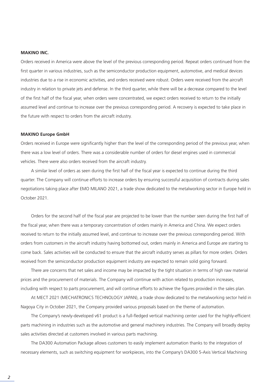### **MAKINO INC.**

Orders received in America were above the level of the previous corresponding period. Repeat orders continued from the first quarter in various industries, such as the semiconductor production equipment, automotive, and medical devices industries due to a rise in economic activities, and orders received were robust. Orders were received from the aircraft industry in relation to private jets and defense. In the third quarter, while there will be a decrease compared to the level of the first half of the fiscal year, when orders were concentrated, we expect orders received to return to the initially assumed level and continue to increase over the previous corresponding period. A recovery is expected to take place in the future with respect to orders from the aircraft industry.

#### **MAKINO Europe GmbH**

Orders received in Europe were significantly higher than the level of the corresponding period of the previous year, when there was a low level of orders. There was a considerable number of orders for diesel engines used in commercial vehicles. There were also orders received from the aircraft industry.

A similar level of orders as seen during the first half of the fiscal year is expected to continue during the third quarter. The Company will continue efforts to increase orders by ensuring successful acquisition of contracts during sales negotiations taking place after EMO MILANO 2021, a trade show dedicated to the metalworking sector in Europe held in October 2021.

Orders for the second half of the fiscal year are projected to be lower than the number seen during the first half of the fiscal year, when there was a temporary concentration of orders mainly in America and China. We expect orders received to return to the initially assumed level, and continue to increase over the previous corresponding period. With orders from customers in the aircraft industry having bottomed out, orders mainly in America and Europe are starting to come back. Sales activities will be conducted to ensure that the aircraft industry serves as pillars for more orders. Orders received from the semiconductor production equipment industry are expected to remain solid going forward.

There are concerns that net sales and income may be impacted by the tight situation in terms of high raw material prices and the procurement of materials. The Company will continue with action related to production increases, including with respect to parts procurement, and will continue efforts to achieve the figures provided in the sales plan.

At MECT 2021 (MECHATRONICS TECHNOLOGY JAPAN), a trade show dedicated to the metalworking sector held in Nagoya City in October 2021, the Company provided various proposals based on the theme of automation.

The Company's newly-developed v61 product is a full-fledged vertical machining center used for the highly-efficient parts machining in industries such as the automotive and general machinery industries. The Company will broadly deploy sales activities directed at customers involved in various parts machining.

The DA300 Automation Package allows customers to easily implement automation thanks to the integration of necessary elements, such as switching equipment for workpieces, into the Company's DA300 5-Axis Vertical Machining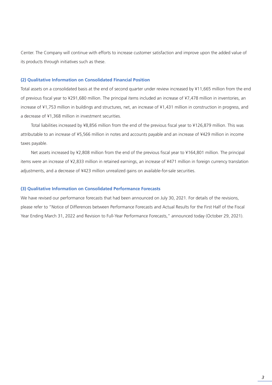Center. The Company will continue with efforts to increase customer satisfaction and improve upon the added value of its products through initiatives such as these.

### **(2) Qualitative Information on Consolidated Financial Position**

Total assets on a consolidated basis at the end of second quarter under review increased by ¥11,665 million from the end of previous fiscal year to ¥291,680 million. The principal items included an increase of ¥7,478 million in inventories, an increase of ¥1,753 million in buildings and structures, net, an increase of ¥1,431 million in construction in progress, and a decrease of ¥1,368 million in investment securities.

Total liabilities increased by ¥8,856 million from the end of the previous fiscal year to ¥126,879 million. This was attributable to an increase of ¥5,566 million in notes and accounts payable and an increase of ¥429 million in income taxes payable.

Net assets increased by ¥2,808 million from the end of the previous fiscal year to ¥164,801 million. The principal items were an increase of ¥2,833 million in retained earnings, an increase of ¥471 million in foreign currency translation adjustments, and a decrease of ¥423 million unrealized gains on available-for-sale securities.

### **(3) Qualitative Information on Consolidated Performance Forecasts**

We have revised our performance forecasts that had been announced on July 30, 2021. For details of the revisions, please refer to "Notice of Differences between Performance Forecasts and Actual Results for the First Half of the Fiscal Year Ending March 31, 2022 and Revision to Full-Year Performance Forecasts," announced today (October 29, 2021).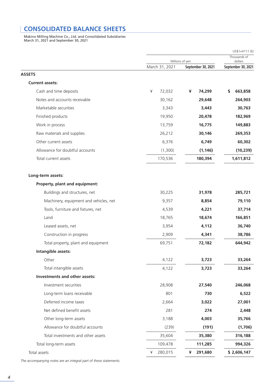## **CONSOLIDATED BALANCE SHEETS**

Makino Milling Machine Co., Ltd. and Consolidated Subsidiaries March 31, 2021 and September 30, 2021

|                                        |                | Millions of yen    | Thousands of<br>dollars |  |  |
|----------------------------------------|----------------|--------------------|-------------------------|--|--|
|                                        | March 31, 2021 | September 30, 2021 | September 30, 2021      |  |  |
| <b>ASSETS</b>                          |                |                    |                         |  |  |
| <b>Current assets:</b>                 |                |                    |                         |  |  |
| Cash and time deposits                 | ¥<br>72,032    | 74,299<br>¥        | 663,858<br>S.           |  |  |
| Notes and accounts receivable          | 30,162         | 29,648             | 264,903                 |  |  |
| Marketable securities                  | 3,343          | 3,443              | 30,763                  |  |  |
| Finished products                      | 19,950         | 20,478             | 182,969                 |  |  |
| Work in process                        | 13,759         | 16,775             | 149,883                 |  |  |
| Raw materials and supplies             | 26,212         | 30,146             | 269,353                 |  |  |
| Other current assets                   | 6,376          | 6,749              | 60,302                  |  |  |
| Allowance for doubtful accounts        | (1,300)        | (1, 146)           | (10, 239)               |  |  |
| Total current assets                   | 170,536        | 180,394            | 1,611,812               |  |  |
| Long-term assets:                      |                |                    |                         |  |  |
| Property, plant and equipment:         |                |                    |                         |  |  |
| Buildings and structures, net          | 30,225         | 31,978             | 285,721                 |  |  |
| Machinery, equipment and vehicles, net | 9,357          | 8,854              | 79,110                  |  |  |
| Tools, furniture and fixtures, net     | 4,539          | 4,221              | 37,714                  |  |  |
| Land                                   | 18,765         | 18,674             | 166,851                 |  |  |
| Leased assets, net                     | 3,954          | 4,112              | 36,740                  |  |  |
| Construction in progress               | 2,909          | 4,341              | 38,786                  |  |  |
| Total property, plant and equipment    | 69,751         | 72,182             | 644,942                 |  |  |
| Intangible assets:                     |                |                    |                         |  |  |
| Other                                  | 4,122          | 3,723              | 33,264                  |  |  |
| Total intangible assets                | 4,122          | 3,723              | 33,264                  |  |  |
| Investments and other assets:          |                |                    |                         |  |  |
| Investment securities                  | 28,908         | 27,540             | 246,068                 |  |  |
| Long-term loans receivable             | 801            | 730                | 6,522                   |  |  |
| Deferred income taxes                  | 2,664          | 3,022              | 27,001                  |  |  |
| Net defined benefit assets             | 281            | 274                | 2,448                   |  |  |
| Other long-term assets                 | 3,188          | 4,003              | 35,766                  |  |  |
| Allowance for doubtful accounts        | (239)          | (191)              | (1,706)                 |  |  |
| Total investments and other assets     | 35,604         | 35,380             | 316,188                 |  |  |
| Total long-term assets                 | 109,478        | 111,285            | 994,326                 |  |  |
| Total assets                           | 280,015<br>¥   | 291,680<br>¥       | \$2,606,147             |  |  |
|                                        |                |                    |                         |  |  |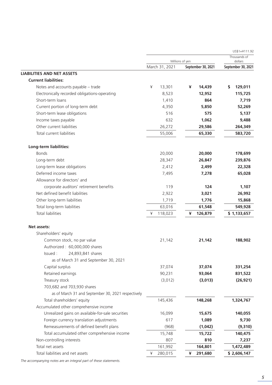|                                                    |                |                                       | $US$1=Y111.92$                |
|----------------------------------------------------|----------------|---------------------------------------|-------------------------------|
|                                                    |                |                                       | Thousands of                  |
|                                                    | March 31, 2021 | Millions of yen<br>September 30, 2021 | dollars<br>September 30, 2021 |
| <b>LIABILITIES AND NET ASSETS</b>                  |                |                                       |                               |
| <b>Current liabilities:</b>                        |                |                                       |                               |
| Notes and accounts payable - trade                 | ¥<br>13,301    | 14,439<br>¥                           | 129,011<br>\$                 |
| Electronically recorded obligations-operating      | 8,523          | 12,952                                | 115,725                       |
| Short-term loans                                   | 1,410          | 864                                   | 7,719                         |
| Current portion of long-term debt                  | 4,350          | 5,850                                 | 52,269                        |
| Short-term lease obligations                       | 516            | 575                                   | 5,137                         |
| Income taxes payable                               | 632            | 1,062                                 | 9,488                         |
| Other current liabilities                          | 26,272         | 29,586                                | 264,349                       |
| Total current liabilities                          | 55,006         | 65,330                                | 583,720                       |
| Long-term liabilities:                             |                |                                       |                               |
| <b>Bonds</b>                                       | 20,000         | 20,000                                | 178,699                       |
| Long-term debt                                     | 28,347         | 26,847                                | 239,876                       |
| Long-term lease obligations                        | 2,412          | 2,499                                 | 22,328                        |
| Deferred income taxes                              | 7,495          | 7,278                                 | 65,028                        |
| Allowance for directors' and                       |                |                                       |                               |
| corporate auditors' retirement benefits            | 119            | 124                                   | 1,107                         |
| Net defined benefit liabilities                    | 2,922          | 3,021                                 | 26,992                        |
| Other long-term liabilities                        | 1,719          | 1,776                                 | 15,868                        |
| Total long-term liabilities                        | 63,016         | 61,548                                | 549,928                       |
| <b>Total liabilities</b>                           | 118,023<br>¥   | ¥<br>126,879                          | \$1,133,657                   |
| Net assets:                                        |                |                                       |                               |
| Shareholders' equity                               |                |                                       |                               |
| Common stock, no par value                         | 21,142         | 21,142                                | 188,902                       |
| Authorized: 60,000,000 shares                      |                |                                       |                               |
| 24,893,841 shares<br>Issued :                      |                |                                       |                               |
| as of March 31 and September 30, 2021              |                |                                       |                               |
| Capital surplus                                    | 37,074         | 37,074                                | 331,254                       |
| Retained earnings                                  | 90,231         | 93,064                                | 831,522                       |
| Treasury stock                                     | (3,012)        | (3,013)                               | (26, 921)                     |
| 703,682 and 703,930 shares                         |                |                                       |                               |
| as of March 31 and September 30, 2021 respectively |                |                                       |                               |
| Total shareholders' equity                         | 145,436        | 148,268                               | 1,324,767                     |
| Accumulated other comprehensive income             |                |                                       |                               |
| Unrealized gains on available-for-sale securities  | 16,099         | 15,675                                | 140,055                       |
| Foreign currency translation adjustments           | 617            | 1,089                                 | 9,730                         |
| Remeasurements of defined benefit plans            | (968)          | (1,042)                               | (9,310)                       |
| Total accumulated other comprehensive income       | 15,748         | 15,722                                | 140,475                       |
| Non-controlling interests                          | 807            | 810                                   | 7,237                         |
| Total net assets                                   | 161,992        | 164,801                               | 1,472,489                     |
| Total liabilities and net assets                   | 280,015<br>¥   | 291,680<br>¥                          | \$2,606,147                   |
|                                                    |                |                                       |                               |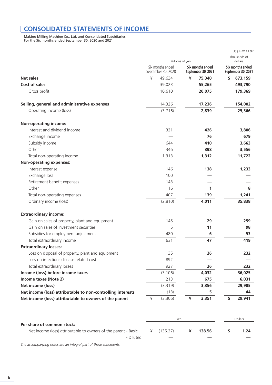# **CONSOLIDATED STATEMENTS OF INCOME**

Makino Milling Machine Co., Ltd. and Consolidated Subsidiaries For the Six months ended September 30, 2020 and 2021

|                                                             |                                        |                                        | US\$1=¥111.92                          |
|-------------------------------------------------------------|----------------------------------------|----------------------------------------|----------------------------------------|
|                                                             | Millions of yen                        |                                        | Thousands of<br>dollars                |
|                                                             | Six months ended<br>September 30, 2020 | Six months ended<br>September 30, 2021 | Six months ended<br>September 30, 2021 |
| <b>Net sales</b>                                            | ¥<br>49,634                            | 75,340<br>¥                            | 673,159<br>\$                          |
| <b>Cost of sales</b>                                        | 39,023                                 | 55,265                                 | 493,790                                |
| Gross profit                                                | 10,610                                 | 20,075                                 | 179,369                                |
| Selling, general and administrative expenses                | 14,326                                 | 17,236                                 | 154,002                                |
| Operating income (loss)                                     | (3,716)                                | 2,839                                  | 25,366                                 |
| <b>Non-operating income:</b>                                |                                        |                                        |                                        |
| Interest and dividend income                                | 321                                    | 426                                    | 3,806                                  |
| Exchange income                                             |                                        | 76                                     | 679                                    |
| Subsidy income                                              | 644                                    | 410                                    | 3,663                                  |
| Other                                                       | 346                                    | 398                                    | 3,556                                  |
| Total non-operating income                                  | 1,313                                  | 1,312                                  | 11,722                                 |
| <b>Non-operating expenses:</b>                              |                                        |                                        |                                        |
| Interest expense                                            | 146                                    | 138                                    | 1,233                                  |
| Exchange loss                                               | 100                                    |                                        |                                        |
| Retirement benefit expenses                                 | 143                                    |                                        |                                        |
| Other                                                       | 16                                     | 1                                      | 8                                      |
| Total non-operating expenses                                | 407                                    | 139                                    | 1,241                                  |
| Ordinary income (loss)                                      | (2,810)                                | 4,011                                  | 35,838                                 |
| <b>Extraordinary income:</b>                                |                                        |                                        |                                        |
| Gain on sales of property, plant and equipment              | 145                                    | 29                                     | 259                                    |
| Gain on sales of investment securities                      | 5                                      | 11                                     | 98                                     |
| Subsidies for employment adjustment                         | 480                                    | 6                                      | 53                                     |
| Total extraordinary income                                  | 631                                    | 47                                     | 419                                    |
| <b>Extraordinary losses:</b>                                |                                        |                                        |                                        |
| Loss on disposal of property, plant and equipment           | 35                                     | 26                                     | 232                                    |
| Loss on infections disease related cost                     | 892                                    |                                        |                                        |
| Total extraordinary losses                                  | 927                                    | 26                                     | 232                                    |
| Income (loss) before income taxes                           | (3, 106)                               | 4,032                                  | 36,025                                 |
| Income taxes (Note 2)                                       | 213                                    | 675                                    | 6,031                                  |
| Net income (loss)                                           | (3,319)                                | 3,356                                  | 29,985                                 |
| Net income (loss) attributable to non-controlling interests | (13)                                   | 5                                      | 44                                     |
| Net income (loss) attributable to owners of the parent      | ¥<br>(3,306)                           | ¥<br>3,351                             | 29,941<br>\$                           |
|                                                             |                                        |                                        |                                        |
| Per share of common stock:                                  | Yen                                    |                                        | Dollars                                |

| Net income (loss) attributable to owners of the parent - Basic $\frac{4}{5}$ (135.27) $\frac{4}{5}$ 138.56 $\frac{5}{5}$ |                          |                          | 1.24 |
|--------------------------------------------------------------------------------------------------------------------------|--------------------------|--------------------------|------|
| - Diluted                                                                                                                | $\overline{\phantom{a}}$ | $\overline{\phantom{a}}$ |      |
|                                                                                                                          |                          |                          |      |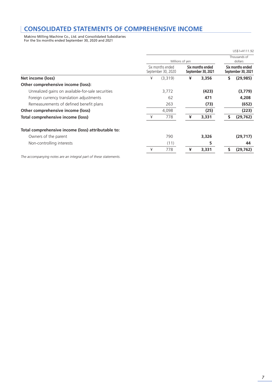# **CONSOLIDATED STATEMENTS OF COMPREHENSIVE INCOME**

Makino Milling Machine Co., Ltd. and Consolidated Subsidiaries For the Six months ended September 30, 2020 and 2021

|                                                    |                 |                                        |   |                                        |                         | $US$1=¥111.92$                         |
|----------------------------------------------------|-----------------|----------------------------------------|---|----------------------------------------|-------------------------|----------------------------------------|
|                                                    | Millions of yen |                                        |   |                                        | Thousands of<br>dollars |                                        |
|                                                    |                 | Six months ended<br>September 30, 2020 |   | Six months ended<br>September 30, 2021 |                         | Six months ended<br>September 30, 2021 |
| Net income (loss)                                  | ¥               | (3,319)                                | ¥ | 3,356                                  | s                       | (29, 985)                              |
| Other comprehensive income (loss):                 |                 |                                        |   |                                        |                         |                                        |
| Unrealized gains on available-for-sale securities  |                 | 3,772                                  |   | (423)                                  |                         | (3,779)                                |
| Foreign currency translation adjustments           |                 | 62                                     |   | 471                                    |                         | 4,208                                  |
| Remeasurements of defined benefit plans            |                 | 263                                    |   | (73)                                   |                         | (652)                                  |
| Other comprehensive income (loss)                  |                 | 4,098                                  |   | (25)                                   |                         | (223)                                  |
| Total comprehensive income (loss)                  | ¥               | 778                                    | ¥ | 3,331                                  | \$                      | (29, 762)                              |
| Total comprehensive income (loss) attributable to: |                 |                                        |   |                                        |                         |                                        |
| Owners of the parent                               |                 | 790                                    |   | 3,326                                  |                         | (29, 717)                              |
| Non-controlling interests                          |                 | (11)                                   |   | 5                                      |                         | 44                                     |
|                                                    | ¥               | 778                                    | ¥ | 3,331                                  | s                       | (29, 762)                              |
|                                                    |                 |                                        |   |                                        |                         |                                        |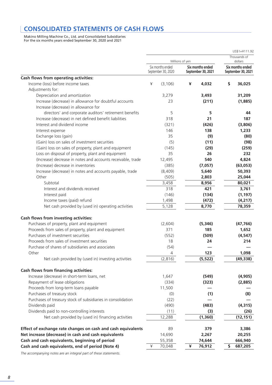# **CONSOLIDATED STATEMENTS OF CASH FLOWS**

Makino Milling Machine Co., Ltd. and Consolidated Subsidiaries For the six months years ended September 30, 2020 and 2021

|                                                              |                 |                    |   |                         | US\$1=¥111.92      |
|--------------------------------------------------------------|-----------------|--------------------|---|-------------------------|--------------------|
|                                                              | Millions of yen |                    |   | Thousands of<br>dollars |                    |
|                                                              |                 | Six months ended   |   | Six months ended        | Six months ended   |
|                                                              |                 | September 30, 2020 |   | September 30, 2021      | September 30, 2021 |
| Cash flows from operating activities:                        |                 |                    |   |                         |                    |
| Income (loss) before income taxes                            | ¥               | (3, 106)           | ¥ | 4,032                   | \$<br>36,025       |
| Adjustments for:                                             |                 |                    |   |                         |                    |
| Depreciation and amortization                                |                 | 3,279              |   | 3,493                   | 31,209             |
| Increase (decrease) in allowance for doubtful accounts       |                 | 23                 |   | (211)                   | (1,885)            |
| Increase (decrease) in allowance for                         |                 |                    |   |                         |                    |
| directors' and corporate auditors' retirement benefits       |                 | 5                  |   | 5                       | 44                 |
| Increase (decrease) in net defined benefit liabilities       |                 | 318                |   | 21                      | 187                |
| Interest and dividend income                                 |                 | (321)              |   | (426)                   | (3,806)            |
| Interest expense                                             |                 | 146                |   | 138                     | 1,233              |
| Exchange loss (gain)                                         |                 | 35                 |   | (9)                     | (80)               |
| (Gain) loss on sales of investment securities                |                 | (5)                |   | (11)                    | (98)               |
| (Gain) loss on sales of property, plant and equipment        |                 | (145)              |   | (29)                    | (259)              |
| Loss on disposal of property, plant and equipment            |                 | 35                 |   | 26                      | 232                |
| (Increase) decrease in notes and accounts receivable, trade  |                 | 12,495             |   | 540                     | 4,824              |
| (Increase) decrease in inventories                           |                 | (385)              |   | (7,057)                 | (63, 053)          |
| Increase (decrease) in notes and accounts payable, trade     |                 | (8,409)            |   | 5,640                   | 50,393             |
| Other                                                        |                 | (505)              |   | 2,803                   | 25,044             |
| Subtotal                                                     |                 | 3,458              |   | 8,956                   | 80,021             |
| Interest and dividends received                              |                 | 318                |   | 421                     | 3,761              |
| Interest paid                                                |                 | (146)              |   | (134)                   | (1, 197)           |
| Income taxes (paid) refund                                   |                 | 1,498              |   | (472)                   | (4, 217)           |
| Net cash provided by (used in) operating activities          |                 | 5,128              |   | 8,770                   | 78,359             |
| Cash flows from investing activities:                        |                 |                    |   |                         |                    |
| Purchases of property, plant and equipment                   |                 | (2,604)            |   | (5, 346)                | (47, 766)          |
| Proceeds from sales of property, plant and equipment         |                 | 371                |   | 185                     | 1,652              |
| Purchases of investment securities                           |                 | (552)              |   | (509)                   | (4, 547)           |
| Proceeds from sales of investment securities                 |                 | 18                 |   | 24                      | 214                |
| Purchase of shares of subsidiaries and associates            |                 | (54)               |   |                         |                    |
| Other                                                        |                 | 4                  |   | 123                     | 1,098              |
| Net cash provided by (used in) investing activities          |                 | (2,816)            |   | (5, 522)                | (49, 338)          |
| Cash flows from financing activities:                        |                 |                    |   |                         |                    |
| Increase (decrease) in short-term loans, net                 |                 | 1,647              |   | (549)                   | (4, 905)           |
| Repayment of lease obligations                               |                 | (334)              |   | (323)                   | (2,885)            |
| Proceeds from long-term loans payable                        |                 | 11,500             |   |                         |                    |
| Purchases of treasury stock                                  |                 | (0)                |   | (1)                     | (8)                |
| Purchases of treasury stock of subsidiaries in consolidation |                 | (22)               |   |                         |                    |
| Dividends paid                                               |                 | (490)              |   | (483)                   | (4, 315)           |
| Dividends paid to non-controlling interests                  |                 | (11)               |   | (3)                     | (26)               |
| Net cash provided by (used in) financing activities          |                 | 12,288             |   | (1,360)                 | (12, 151)          |
| Effect of exchange rate changes on cash and cash equivalents |                 | 89                 |   | 379                     | 3,386              |
| Net increase (decrease) in cash and cash equivalents         |                 | 14,690             |   | 2,267                   | 20,255             |
| Cash and cash equivalents, beginning of period               |                 | 55,358             |   | 74,644                  | 666,940            |
| Cash and cash equivalents, end of period (Note 4)            | ¥               | 70,048             | ¥ | 76,912                  | \$<br>687,205      |
|                                                              |                 |                    |   |                         |                    |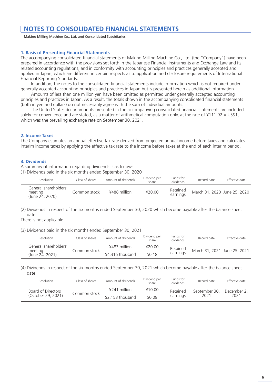### **NOTES TO CONSOLIDATED FINANCIAL STATEMENTS**

Makino Milling Machine Co., Ltd. and Consolidated Subsidiaries

### **1. Basis of Presenting Financial Statements**

The accompanying consolidated financial statements of Makino Milling Machine Co., Ltd. (the "Company") have been prepared in accordance with the provisions set forth in the Japanese Financial Instruments and Exchange Law and its related accounting regulations, and in conformity with accounting principles and practices generally accepted and applied in Japan, which are different in certain respects as to application and disclosure requirements of International Financial Reporting Standards.

In addition, the notes to the consolidated financial statements include information which is not required under generally accepted accounting principles and practices in Japan but is presented herein as additional information.

Amounts of less than one million yen have been omitted as permitted under generally accepted accounting principles and practices in Japan. As a result, the totals shown in the accompanying consolidated financial statements (both in yen and dollars) do not necessarily agree with the sum of individual amounts.

The United States dollar amounts presented in the accompanying consolidated financial statements are included solely for convenience and are stated, as a matter of arithmetical computation only, at the rate of ¥111.92 = US\$1, which was the prevailing exchange rate on September 30, 2021.

### **2. Income Taxes**

The Company estimates an annual effective tax rate derived from projected annual income before taxes and calculates interim income taxes by applying the effective tax rate to the income before taxes at the end of each interim period.

### **3. Dividends**

A summary of information regarding dividends is as follows:

(1) Dividends paid in the six months ended September 30, 2020

| Resolution                                          | Class of shares | Amount of dividends | Dividend per<br>share | Funds for<br>dividends | Record date                  | Effective date |
|-----------------------------------------------------|-----------------|---------------------|-----------------------|------------------------|------------------------------|----------------|
| General shareholders'<br>meeting<br>(June 24, 2020) | Common stock    | ¥488 million        | 420.00                | Retained<br>earnings   | March 31, 2020 June 25, 2020 |                |

(2) Dividends in respect of the six months ended September 30, 2020 which become payable after the balance sheet date

There is not applicable.

(3) Dividends paid in the six months ended September 30, 2021

| Resolution                 | Class of shares | Amount of dividends | Dividend per<br>share | Funds for<br>dividends | Record date                  | Effective date |
|----------------------------|-----------------|---------------------|-----------------------|------------------------|------------------------------|----------------|
| General shareholders'      | Common stock    | ¥483 million        | 420.00                | Retained               | March 31, 2021 June 25, 2021 |                |
| meeting<br>(June 24, 2021) |                 | \$4.316 thousand    | \$0.18                | earnings               |                              |                |

(4) Dividends in respect of the six months ended September 30, 2021 which become payable after the balance sheet date

| Resolution         | Class of shares | Amount of dividends | Dividend per<br>share | Funds for<br>dividends | Record date   | Effective date |
|--------------------|-----------------|---------------------|-----------------------|------------------------|---------------|----------------|
| Board of Directors |                 | $4241$ million      | ¥10.00                | Retained               | September 30. | December 2,    |
| (October 29, 2021) | Common stock    | \$2,153 thousand    | \$0.09                | earnings               | 2021          | 2021           |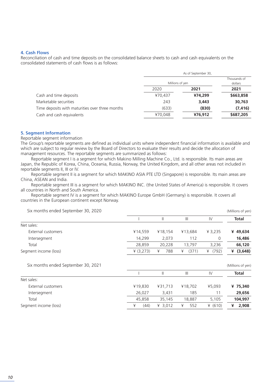### **4. Cash Flows**

Reconciliation of cash and time deposits on the consolidated balance sheets to cash and cash equivalents on the consolidated statements of cash flows is as follows:

|                                                 |         | As of September 30, |           |
|-------------------------------------------------|---------|---------------------|-----------|
|                                                 |         | Millions of yen     |           |
|                                                 | 2020    | 2021                | 2021      |
| Cash and time deposits                          | ¥70.437 | ¥74,299             | \$663,858 |
| Marketable securities                           | 243     | 3,443               | 30,763    |
| Time deposits with maturities over three months | (633)   | (830)               | (7, 416)  |
| Cash and cash equivalents                       | ¥70.048 | ¥76,912             | \$687,205 |

### **5. Segment Information**

Reportable segment information

The Group's reportable segments are defined as individual units where independent financial information is available and which are subject to regular review by the Board of Directors to evaluate their results and decide the allocation of management resources. The reportable segments are summarized as follows:

Reportable segment I is a segment for which Makino Milling Machine Co., Ltd. is responsible. Its main areas are Japan, the Republic of Korea, China, Oceania, Russia, Norway, the United Kingdom, and all other areas not included in reportable segments II, III or IV.

Reportable segment II is a segment for which MAKINO ASIA PTE LTD (Singapore) is responsible. Its main areas are China, ASEAN and India.

Reportable segment III is a segment for which MAKINO INC. (the United States of America) is responsible. It covers all countries in North and South America.

Reportable segment IV is a segment for which MAKINO Europe GmbH (Germany) is responsible. It covers all countries in the European continent except Norway.

| Six months ended September 30, 2020 |          |               |                |               | (Millions of yen) |
|-------------------------------------|----------|---------------|----------------|---------------|-------------------|
|                                     |          | $\mathsf{II}$ | $\mathbf{III}$ | $\mathsf{IV}$ | <b>Total</b>      |
| Net sales:                          |          |               |                |               |                   |
| External customers                  | ¥14,559  | ¥18,154       | ¥13,684        | ¥ 3,235       | ¥ 49,634          |
| Intersegment                        | 14,299   | 2,073         | 112            | 0             | 16,486            |
| Total                               | 28,859   | 20,228        | 13,797         | 3,236         | 66,120            |
| Segment income (loss)               | 4(3,273) | 788<br>¥      | (371)<br>¥     | ¥ $(792)$     | ¥ $(3,648)$       |
| Six months ended September 30, 2021 |          |               |                |               | (Millions of yen) |
|                                     |          | $\mathsf{II}$ | $\mathbf{III}$ | IV            | <b>Total</b>      |
| Net sales:                          |          |               |                |               |                   |
| External customers                  | ¥19,830  | ¥31,713       | ¥18,702        | ¥5,093        | ¥ 75,340          |
| Intersegment                        | 26,027   | 3,431         | 185            | 11            | 29,656            |
| Total                               | 45,858   | 35,145        | 18,887         | 5,105         | 104,997           |
| Segment income (loss)               | (44)     | ¥ 3,012       | ¥<br>552       | ¥ $(610)$     | ¥<br>2,908        |
|                                     |          |               |                |               |                   |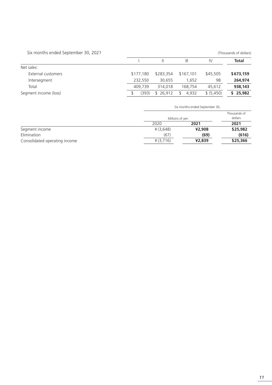| Six months ended September 30, 2021 |           |           |              |            | (Thousands of dollars) |
|-------------------------------------|-----------|-----------|--------------|------------|------------------------|
|                                     |           |           | Ш            | IV         | <b>Total</b>           |
| Net sales:                          |           |           |              |            |                        |
| External customers                  | \$177,180 | \$283,354 | \$167.101    | \$45,505   | \$673,159              |
| Intersegment                        | 232,550   | 30.655    | 1.652        | 98         | 264,974                |
| Total                               | 409.739   | 314,018   | 168.754      | 45.612     | 938,143                |
| Segment income (loss)               | (393)     | \$26.912  | 4.932<br>\$. | \$ (5,450) | \$25,982               |

|                               | Six months ended September 30, |        |                         |
|-------------------------------|--------------------------------|--------|-------------------------|
|                               | Millions of yen                |        | Thousands of<br>dollars |
|                               | 2020                           | 2021   | 2021                    |
| Segment income                | ¥ (3,648)                      | ¥2,908 | \$25,982                |
| Elimination                   | (67)                           | (69)   | (616)                   |
| Consolidated operating income | ¥ (3,716)                      | ¥2,839 | \$25,366                |